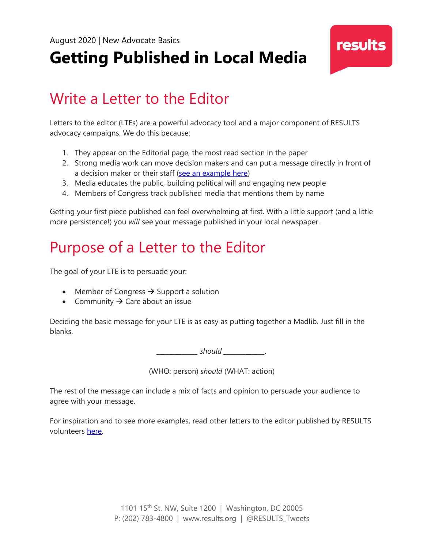# **Getting Published in Local Media**

### Write a Letter to the Editor

Letters to the editor (LTEs) are a powerful advocacy tool and a major component of RESULTS advocacy campaigns. We do this because:

- 1. They appear on the Editorial page, the most read section in the paper
- 2. Strong media work can move decision makers and can put a message directly in front of a decision maker or their staff [\(see an example here\)](https://results.org/blog/first-name-basis/)
- 3. Media educates the public, building political will and engaging new people
- 4. Members of Congress track published media that mentions them by name

Getting your first piece published can feel overwhelming at first. With a little support (and a little more persistence!) you *will* see your message published in your local newspaper.

### Purpose of a Letter to the Editor

The goal of your LTE is to persuade your:

- Member of Congress  $\rightarrow$  Support a solution
- Community  $\rightarrow$  Care about an issue

Deciding the basic message for your LTE is as easy as putting together a Madlib. Just fill in the blanks.

 $should$   $\qquad \qquad .$ 

(WHO: person) *should* (WHAT: action)

The rest of the message can include a mix of facts and opinion to persuade your audience to agree with your message.

For inspiration and to see more examples, read other letters to the editor published by RESULTS volunteers [here.](https://results.org/news/cat/results-in-the-news/)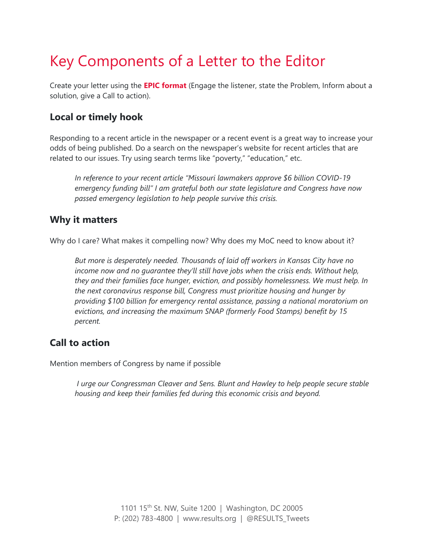## Key Components of a Letter to the Editor

Create your letter using the **[EPIC format](https://results.org/resources/empower-yourself-activist-milestone-2/)** (Engage the listener, state the Problem, Inform about a solution, give a Call to action).

#### **Local or timely hook**

Responding to a recent article in the newspaper or a recent event is a great way to increase your odds of being published. Do a search on the newspaper's website for recent articles that are related to our issues. Try using search terms like "poverty," "education," etc.

*In reference to your recent article "Missouri lawmakers approve \$6 billion COVID-19 emergency funding bill" I am grateful both our state legislature and Congress have now passed emergency legislation to help people survive this crisis.*

#### **Why it matters**

Why do I care? What makes it compelling now? Why does my MoC need to know about it?

*But more is desperately needed. Thousands of laid off workers in Kansas City have no income now and no guarantee they'll still have jobs when the crisis ends. Without help, they and their families face hunger, eviction, and possibly homelessness. We must help. In the next coronavirus response bill, Congress must prioritize housing and hunger by providing \$100 billion for emergency rental assistance, passing a national moratorium on evictions, and increasing the maximum SNAP (formerly Food Stamps) benefit by 15 percent.*

#### **Call to action**

Mention members of Congress by name if possible

*I urge our Congressman Cleaver and Sens. Blunt and Hawley to help people secure stable housing and keep their families fed during this economic crisis and beyond.*